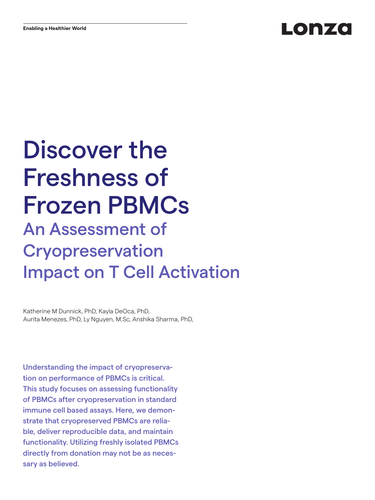# Lonza

# Discover the Freshness of Frozen PBMCs An Assessment of Cryopreservation Impact on T Cell Activation

Katherine M Dunnick, PhD, Kayla DeOca, PhD, Aurita Menezes, PhD, Ly Nguyen, M.Sc, Anshika Sharma, PhD,

Understanding the impact of cryopreservation on performance of PBMCs is critical. This study focuses on assessing functionality of PBMCs after cryopreservation in standard immune cell based assays. Here, we demonstrate that cryopreserved PBMCs are reliable, deliver reproducible data, and maintain functionality. Utilizing freshly isolated PBMCs directly from donation may not be as necessary as believed.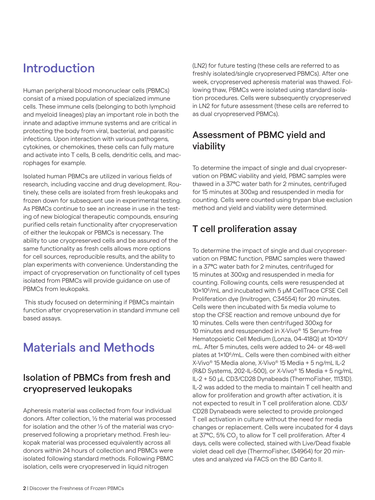# Introduction

Human peripheral blood mononuclear cells (PBMCs) consist of a mixed population of specialized immune cells. These immune cells (belonging to both lymphoid and myeloid lineages) play an important role in both the innate and adaptive immune systems and are critical in protecting the body from viral, bacterial, and parasitic infections. Upon interaction with various pathogens, cytokines, or chemokines, these cells can fully mature and activate into T cells, B cells, dendritic cells, and macrophages for example.

Isolated human PBMCs are utilized in various fields of research, including vaccine and drug development. Routinely, these cells are isolated from fresh leukopaks and frozen down for subsequent use in experimental testing. As PBMCs continue to see an increase in use in the testing of new biological therapeutic compounds, ensuring purified cells retain functionality after cryopreservation of either the leukopak or PBMCs is necessary. The ability to use cryopreserved cells and be assured of the same functionality as fresh cells allows more options for cell sources, reproducible results, and the ability to plan experiments with convenience. Understanding the impact of cryopreservation on functionality of cell types isolated from PBMCs will provide guidance on use of PBMCs from leukopaks.

 This study focused on determining if PBMCs maintain function after cryopreservation in standard immune cell based assays.

# Materials and Methods

### Isolation of PBMCs from fresh and cryopreserved leukopaks

Apheresis material was collected from four individual donors. After collection, ½ the material was processed for isolation and the other ½ of the material was cryopreserved following a proprietary method. Fresh leukopak material was processed equivalently across all donors within 24 hours of collection and PBMCs were isolated following standard methods. Following PBMC isolation, cells were cryopreserved in liquid nitrogen

(LN2) for future testing (these cells are referred to as freshly isolated/single cryopreserved PBMCs). After one week, cryopreserved apheresis material was thawed. Following thaw, PBMCs were isolated using standard isolation procedures. Cells were subsequently cryopreserved in LN2 for future assessment (these cells are referred to as dual cryopreserved PBMCs).

### Assessment of PBMC yield and viability

To determine the impact of single and dual cryopreservation on PBMC viability and yield, PBMC samples were thawed in a 37ºC water bath for 2 minutes, centrifuged for 15 minutes at 300xg and resuspended in media for counting. Cells were counted using trypan blue exclusion method and yield and viability were determined.

### T cell proliferation assay

To determine the impact of single and dual cryopreservation on PBMC function, PBMC samples were thawed in a 37ºC water bath for 2 minutes, centrifuged for 15 minutes at 300xg and resuspended in media for counting. Following counts, cells were resuspended at 10x106/mL and incubated with 5 µM CellTrace CFSE Cell Proliferation dye (Invitrogen, C34554) for 20 minutes. Cells were then incubated with 5x media volume to stop the CFSE reaction and remove unbound dye for 10 minutes. Cells were then centrifuged 300xg for 10 minutes and resuspended in X-Vivo® 15 Serum-free Hematopoietic Cell Medium (Lonza, 04-418Q) at 10×10<sup>6</sup>/ mL. After 5 minutes, cells were added to 24- or 48-well plates at 1x106/mL. Cells were then combined with either X-Vivo® 15 Media alone, X-Vivo® 15 Media + 5 ng/mL IL-2 (R&D Systems, 202-IL-500), or X-Vivo® 15 Media + 5 ng/mL IL-2 + 50 μL CD3/CD28 Dynabeads (ThermoFisher, 11131D). IL-2 was added to the media to maintain T cell health and allow for proliferation and growth after activation, it is not expected to result in T cell proliferation alone. CD3/ CD28 Dynabeads were selected to provide prolonged T cell activation in culture without the need for media changes or replacement. Cells were incubated for 4 days at 37°C, 5% CO $_{\rm 2}$  to allow for T cell proliferation. After 4 days, cells were collected, stained with Live/Dead fixable violet dead cell dye (ThermoFisher, I34964) for 20 minutes and analyzed via FACS on the BD Canto II.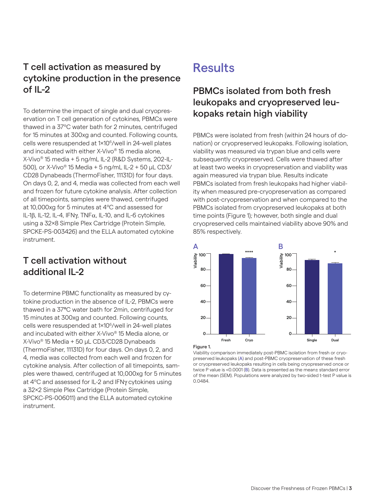### T cell activation as measured by cytokine production in the presence of IL-2

To determine the impact of single and dual cryopreservation on T cell generation of cytokines, PBMCs were thawed in a 37ºC water bath for 2 minutes, centrifuged for 15 minutes at 300xg and counted. Following counts, cells were resuspended at 1x106/well in 24-well plates and incubated with either X-Vivo® 15 media alone, X-Vivo® 15 media + 5 ng/mL IL-2 (R&D Systems, 202-IL-500), or X-Vivo® 15 Media + 5 ng/mL IL-2 + 50 µL CD3/ CD28 Dynabeads (ThermoFisher, 11131D) for four days. On days 0, 2, and 4, media was collected from each well and frozen for future cytokine analysis. After collection of all timepoints, samples were thawed, centrifuged at 10,000xg for 5 minutes at 4ºC and assessed for IL-1β, IL-12, IL-4, IFNγ, TNFα, IL-10, and IL-6 cytokines using a 32x8 Simple Plex Cartridge (Protein Simple, SPCKE-PS-003426) and the ELLA automated cytokine instrument.

### T cell activation without additional IL-2

To determine PBMC functionality as measured by cytokine production in the absence of IL-2, PBMCs were thawed in a 37ºC water bath for 2min, centrifuged for 15 minutes at 300xg and counted. Following counts, cells were resuspended at 1×10<sup>6</sup>/well in 24-well plates and incubated with either X-Vivo® 15 Media alone, or X-Vivo® 15 Media + 50 µL CD3/CD28 Dynabeads (ThermoFisher, 11131D) for four days. On days 0, 2, and 4, media was collected from each well and frozen for cytokine analysis. After collection of all timepoints, samples were thawed, centrifuged at 10,000xg for 5 minutes at 4ºC and assessed for IL-2 and IFNγ cytokines using a 32x2 Simple Plex Cartridge (Protein Simple, SPCKC-PS-006011) and the ELLA automated cytokine instrument.

# **Results**

### PBMCs isolated from both fresh leukopaks and cryopreserved leukopaks retain high viability

PBMCs were isolated from fresh (within 24 hours of donation) or cryopreserved leukopaks. Following isolation, viability was measured via trypan blue and cells were subsequently cryopreserved. Cells were thawed after at least two weeks in cryopreservation and viability was again measured via trypan blue. Results indicate PBMCs isolated from fresh leukopaks had higher viability when measured pre-cryopreservation as compared with post-cryopreservation and when compared to the PBMCs isolated from cryopreserved leukopaks at both time points (Figure 1); however, both single and dual cryopreserved cells maintained viability above 90% and 85% respectively.



Figure 1.

Viability comparison immediately post-PBMC isolation from fresh or cryopreserved leukopaks (A) and post-PBMC cryopreservation of these fresh or cryopreserved leukopaks resulting in cells being cryopreserved once or twice P value is <0.0001 (B). Data is presented as the mean± standard error of the mean (SEM). Populations were analyzed by two-sided t-test P value is 0.0484.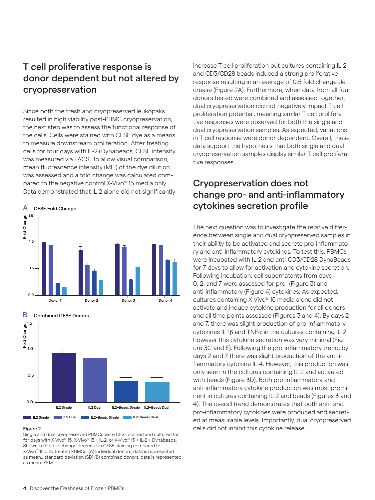### T cell proliferative response is donor dependent but not altered by cryopreservation

Since both the fresh and cryopreserved leukopaks resulted in high viability post-PBMC cryopreservation, the next step was to assess the functional response of the cells. Cells were stained with CFSE dye as a means to measure downstream proliferation. After treating cells for four days with IL-2+Dynabeads, CFSE intensity was measured via FACS. To allow visual comparison, mean fluorescence intensity (MFI) of the dye dilution was assessed and a fold change was calculated compared to the negative control X-Vivo® 15 media only. Data demonstrated that IL-2 alone did not significantly







#### Figure 2.

Single and dual cryopreserved PBMCs were CFSE stained and cultured for for days with X-Vivo® 15, X-Vivo® 15 + IL-2, or X-Vivo® 15 + IL-2 + Dynabeads. Shown is the fold change decrease in CFSE staining compared to X-Vivo® 15 only treated PBMCs. (A) Individual donors, data is represented as mean± standard deviation (SD) (B) combined donors, data is represented as mean±SEM.

increase T cell proliferation but cultures containing IL-2 and CD3/CD28 beads induced a strong proliferative response resulting in an average of 0.5 fold change decrease (Figure 2A). Furthermore, when data from all four donors tested were combined and assessed together, dual cryopreservation did not negatively impact T cell proliferation potential, meaning similar T cell proliferative responses were observed for both the single and dual cryopreservation samples. As expected, variations in T cell response were donor dependent. Overall, these data support the hypothesis that both single and dual cryopreservation samples display similar T cell proliferative responses.

### Cryopreservation does not change pro- and anti-inflammatory cytokines secretion profile

The next question was to investigate the relative difference between single and dual cryopreserved samples in their ability to be activated and secrete pro-inflammatory and anti-inflammatory cytokines. To test this, PBMCs were incubated with IL-2 and anti-CD3/CD28 DynaBeads for 7 days to allow for activation and cytokine secretion. Following incubation, cell supernatants from days 0, 2, and 7 were assessed for pro- (Figure 3) and anti-inflammatory (Figure 4) cytokines. As expected, cultures containing X-Vivo® 15 media alone did not activate and induce cytokine production for all donors and all time points assessed (Figures 3 and 4). By days 2 and 7, there was slight production of pro-inflammatory cytokines IL-1β and TNFα in the cultures containing IL-2 however this cytokine secretion was very minimal (Figure 3C and E). Following the pro-inflammatory trend, by days 2 and 7 there was slight production of the anti-inflammatory cytokine IL-4. However, this production was only seen in the cultures containing IL-2 and activated with beads (Figure 3D). Both pro-inflammatory and anti-inflammatory cytokine production was most prominent in cultures containing IL-2 and beads (Figures 3 and 4). The overall trend demonstrates that both anti- and pro-inflammatory cytokines were produced and secreted at measurable levels. Importantly, dual cryopreserved cells did not inhibit this cytokine release.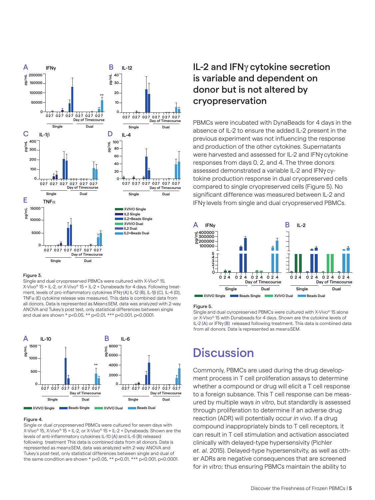

#### Figure 3.

Single and dual cryopreserved PBMCs were cultured with X-Vivo® 15, X-Vivo® 15 + IL-2, or X-Vivo® 15 + IL-2 + Dynabeads for 4 days. Following treatment, levels of pro-inflammatory cytokines IFNγ (A) IL-12 (B), IL-1β (C), IL-4 (D),  $TNF\alpha$  (E) cytokine release was measured. This data is combined data from all donors. Data is represented as Mean±SEM, data was analyzed with 2-way ANOVA and Tukey's post test, only statistical differences between single and dual are shown \* p<0.05, \*\* p<0.01, \*\*\* p<0.001, p<0.0001.



#### Figure 4.

Single or dual cryopreserved PBMCs were cultured for seven days with X-Vivo® 15, X-Vivo® 15 + IL-2, or X-Vivo® 15 + IL-2 + Dynabeads. Shown are the levels of anti-inflammatory cytokines IL-10 (A) and IL-6 (B) released following treatment This data is combined data from all donors. Data is represented as mean±SEM, data was analyzed with 2-way ANOVA and Tukey's post-test, only statistical differences between single and dual of the same condition are shown \* p<0.05, \*\* p<0.01, \*\*\* p<0.001, p<0.0001.

### IL-2 and IFNγ cytokine secretion is variable and dependent on donor but is not altered by cryopreservation

PBMCs were incubated with DynaBeads for 4 days in the absence of IL-2 to ensure the added IL-2 present in the previous experiment was not influencing the response and production of the other cytokines. Supernatants were harvested and assessed for IL-2 and IFNγ cytokine responses from days 0, 2, and 4. The three donors assessed demonstrated a variable IL-2 and IFNγ cytokine production response in dual cryopreserved cells compared to single cryopreserved cells (Figure 5). No significant difference was measured between IL-2 and IFNγ levels from single and dual cryopreserved PBMCs.



#### Figure 5.

Single and dual cyropreserved PBMCs were cultured with X-Vivo® 15 alone or X-Vivo® 15 with Dynabeads for 4 days. Shown are the cytokine levels of IL-2 (A) or IFNγ (B) released following treatment. This data is combined data from all donors. Data is represented as mean±SEM.

## **Discussion**

Commonly, PBMCs are used during the drug development process in T cell proliferation assays to determine whether a compound or drug will elicit a T cell response to a foreign subsance. This T cell response can be measured by multiple ways *in vitro*, but standardly is assessed through proliferation to determine if an adverse drug reaction (ADR) will potentially occur *in vivo*. If a drug compound inappropriately binds to T cell receptors, it can result in T cell stimulation and activation associated clinically with delayed-type hypersensivity (Pichler *et. al.* 2015). Delayed-type hypersensitvity, as well as other ADRs are negative consequences that are screened for *in vitro*; thus ensuring PBMCs maintain the ability to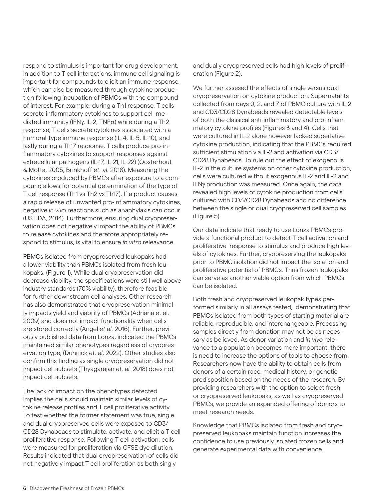respond to stimulus is important for drug development. In addition to T cell interactions, immune cell signaling is important for compounds to elicit an immune response, which can also be measured through cytokine production following incubation of PBMCs with the compound of interest. For example, during a Th1 response, T cells secrete inflammatory cytokines to support cell-mediated immunity (IFN $\gamma$ , IL-2, TNF $\alpha$ ) while during a Th2 response, T cells secrete cytokines associated with a humoral-type immune response (IL-4, IL-5, IL-10), and lastly during a Th17 response, T cells produce pro-inflammatory cytokines to support responses against extracellular pathogens (IL-17, IL-21, IL-22) (Oosterhout & Motta, 2005, Brinkhoff *et. al.* 2018). Measuring the cytokines produced by PBMCs after exposure to a compound allows for potential determination of the type of T cell response (Th1 vs Th2 vs Th17). If a product causes a rapid release of unwanted pro-inflammatory cytokines, negative *in vivo* reactions such as anaphylaxis can occur (US FDA, 2014). Furthermore, ensuring dual cryopreservation does not negatively impact the ability of PBMCs to release cytokines and therefore appropriately respond to stimulus, is vital to ensure *in vitro* releavance.

PBMCs isolated from cryopreserved leukopaks had a lower viability than PBMCs isolated from fresh leukopaks. (Figure 1). While dual cryopreservation did decrease viability, the specifications were still well above industry standards (70% viability), therefore feasible for further downstream cell analyses. Other research has also demonstrated that cryopreservation minimally impacts yield and viability of PBMCs (Adriana et al. 2009) and does not impact functionality when cells are stored correctly (Angel *et al.* 2016). Further, previously published data from Lonza, indicated the PBMCs maintained similar phenotypes regardless of cryopreservation type, (Dunnick *et. al*, 2022). Other studies also confirm this finding as single cryopreservation did not impact cell subsets (Thyagarajan *et. al.* 2018) does not impact cell subsets.

The lack of impact on the phenotypes detected implies the cells should maintain similar levels of cytokine release profiles and T cell proliferative activity. To test whether the former statement was true, single and dual cryopreserved cells were exposed to CD3/ CD28 Dynabeads to stimulate, activate, and elicit a T cell proliferative response. Following T cell activation, cells were measured for proliferation via CFSE dye dilution. Results indicated that dual cryopreservation of cells did not negatively impact T cell proliferation as both singly

and dually cryopreserved cells had high levels of proliferation (Figure 2).

We further assesed the effects of single versus dual cryopreservation on cytokine production. Supernatants collected from days 0, 2, and 7 of PBMC culture with IL-2 and CD3/CD28 Dynabeads revealed detectable levels of both the classical anti-inflammatory and pro-inflammatory cytokine profiles (Figures 3 and 4). Cells that were cultured in IL-2 alone however lacked superlative cytokine production, indicating that the PBMCs required sufficient stimulation via IL-2 and activation via CD3/ CD28 Dynabeads. To rule out the effect of exogenous IL-2 in the culture systems on other cytokine production, cells were cultured without exogenous IL-2 and IL-2 and IFNγ production was measured. Once again, the data revealed high levels of cytokine production from cells cultured with CD3/CD28 Dynabeads and no difference between the single or dual cryopreserved cell samples (Figure 5).

Our data indicate that ready to use Lonza PBMCs provide a functional product to detect T cell activation and proliferative response to stimulus and produce high levels of cytokines. Further, cryopreserving the leukopaks prior to PBMC isolation did not impact the isolation and proliferative potential of PBMCs. Thus frozen leukopaks can serve as another viable option from which PBMCs can be isolated.

Both fresh and cryopreserved leukopak types performed similarly in all assays tested, demonstrating that PBMCs isolated from both types of starting material are reliable, reproducible, and interchangeable. Processing samples directly from donation may not be as necessary as believed. As donor variation and *in vivo* relevance to a population becomes more important, there is need to increase the options of tools to choose from. Researchers now have the ability to obtain cells from donors of a certain race, medical history, or genetic predisposition based on the needs of the research. By providing researchers with the option to select fresh or cryopreserved leukopaks, as well as cryopreserved PBMCs, we provide an expanded offering of donors to meet research needs.

Knowledge that PBMCs isolated from fresh and cryopreserved leukopaks maintain function increases the confidence to use previously isolated frozen cells and generate experimental data with convenience.